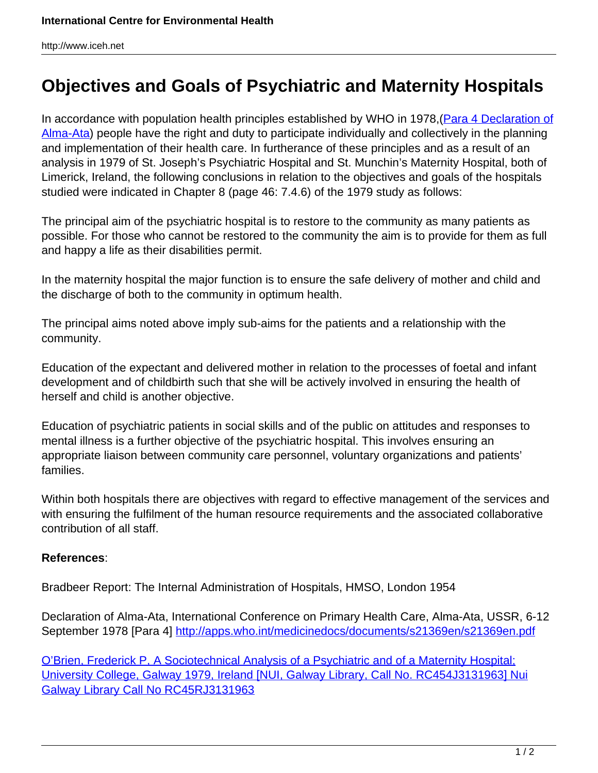## **Objectives and Goals of Psychiatric and Maternity Hospitals**

In accordance with population health principles established by WHO in 1978, [\(Para 4 Declaration of](http://apps.who.int/medicinedocs/documents/s21369en/s21369en.pdf) [Alma-Ata\)](http://apps.who.int/medicinedocs/documents/s21369en/s21369en.pdf) people have the right and duty to participate individually and collectively in the planning and implementation of their health care. In furtherance of these principles and as a result of an analysis in 1979 of St. Joseph's Psychiatric Hospital and St. Munchin's Maternity Hospital, both of Limerick, Ireland, the following conclusions in relation to the objectives and goals of the hospitals studied were indicated in Chapter 8 (page 46: 7.4.6) of the 1979 study as follows:

The principal aim of the psychiatric hospital is to restore to the community as many patients as possible. For those who cannot be restored to the community the aim is to provide for them as full and happy a life as their disabilities permit.

In the maternity hospital the major function is to ensure the safe delivery of mother and child and the discharge of both to the community in optimum health.

The principal aims noted above imply sub-aims for the patients and a relationship with the community.

Education of the expectant and delivered mother in relation to the processes of foetal and infant development and of childbirth such that she will be actively involved in ensuring the health of herself and child is another objective.

Education of psychiatric patients in social skills and of the public on attitudes and responses to mental illness is a further objective of the psychiatric hospital. This involves ensuring an appropriate liaison between community care personnel, voluntary organizations and patients' families.

Within both hospitals there are objectives with regard to effective management of the services and with ensuring the fulfilment of the human resource requirements and the associated collaborative contribution of all staff.

## **References**:

Bradbeer Report: The Internal Administration of Hospitals, HMSO, London 1954

Declaration of Alma-Ata, International Conference on Primary Health Care, Alma-Ata, USSR, 6-12 September 1978 [Para 4] <http://apps.who.int/medicinedocs/documents/s21369en/s21369en.pdf>

[O'Brien, Frederick P, A Sociotechnical Analysis of a Psychiatric and of a Maternity Hospital;](http://www.iceh.net/wp-content/uploads/2019/02/ThesisFinal.pdf) [University College, Galway 1979, Ireland \[NUI, Galway Library, Call No. RC454J3131963\] Nui](http://www.iceh.net/wp-content/uploads/2019/02/ThesisFinal.pdf) [Galway Library Call No RC45RJ3131963](http://www.iceh.net/wp-content/uploads/2019/02/ThesisFinal.pdf)